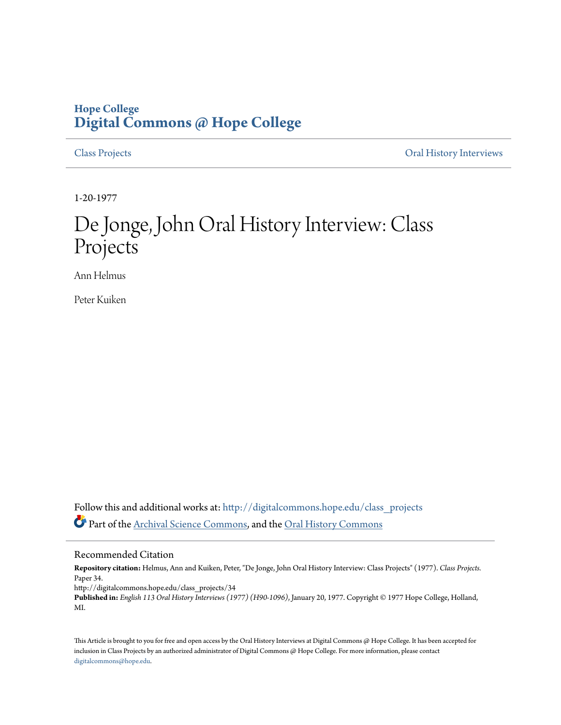# **Hope College [Digital Commons @ Hope College](http://digitalcommons.hope.edu?utm_source=digitalcommons.hope.edu%2Fclass_projects%2F34&utm_medium=PDF&utm_campaign=PDFCoverPages)**

[Class Projects](http://digitalcommons.hope.edu/class_projects?utm_source=digitalcommons.hope.edu%2Fclass_projects%2F34&utm_medium=PDF&utm_campaign=PDFCoverPages) [Oral History Interviews](http://digitalcommons.hope.edu/oral_histories?utm_source=digitalcommons.hope.edu%2Fclass_projects%2F34&utm_medium=PDF&utm_campaign=PDFCoverPages)

1-20-1977

# De Jonge, John Oral History Interview: Class Projects

Ann Helmus

Peter Kuiken

Follow this and additional works at: [http://digitalcommons.hope.edu/class\\_projects](http://digitalcommons.hope.edu/class_projects?utm_source=digitalcommons.hope.edu%2Fclass_projects%2F34&utm_medium=PDF&utm_campaign=PDFCoverPages) Part of the [Archival Science Commons,](http://network.bepress.com/hgg/discipline/1021?utm_source=digitalcommons.hope.edu%2Fclass_projects%2F34&utm_medium=PDF&utm_campaign=PDFCoverPages) and the [Oral History Commons](http://network.bepress.com/hgg/discipline/1195?utm_source=digitalcommons.hope.edu%2Fclass_projects%2F34&utm_medium=PDF&utm_campaign=PDFCoverPages)

### Recommended Citation

**Repository citation:** Helmus, Ann and Kuiken, Peter, "De Jonge, John Oral History Interview: Class Projects" (1977). *Class Projects.* Paper 34.

http://digitalcommons.hope.edu/class\_projects/34

**Published in:** *English 113 Oral History Interviews (1977) (H90-1096)*, January 20, 1977. Copyright © 1977 Hope College, Holland, MI.

This Article is brought to you for free and open access by the Oral History Interviews at Digital Commons @ Hope College. It has been accepted for inclusion in Class Projects by an authorized administrator of Digital Commons @ Hope College. For more information, please contact [digitalcommons@hope.edu.](mailto:digitalcommons@hope.edu)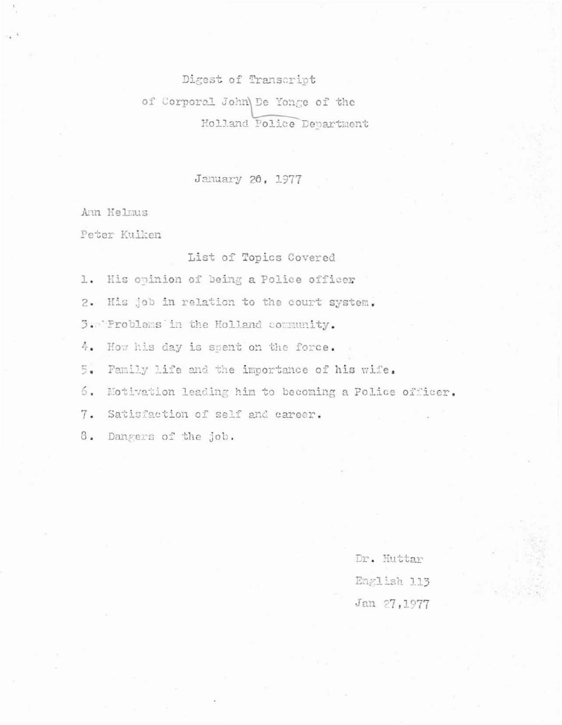Digest of Transcript of Corporal John De Yonge of the Holland Police Department

## January 20, 1977

Ann Helmus

Peter Kuiken

List of Topics Covered

1. His opinion of being a Police officer

2. His job in relation to the court system.

3. Problems in the Holland community.

4. How his day is spent on the force.

Family life and the importance of his wife. 5.

6. Motivation leading him to becoming a Police officer.

7. Satisfaction of self and career.

3. Dangers of the job.

Dr. Huttar English 113 Jan 27, 1977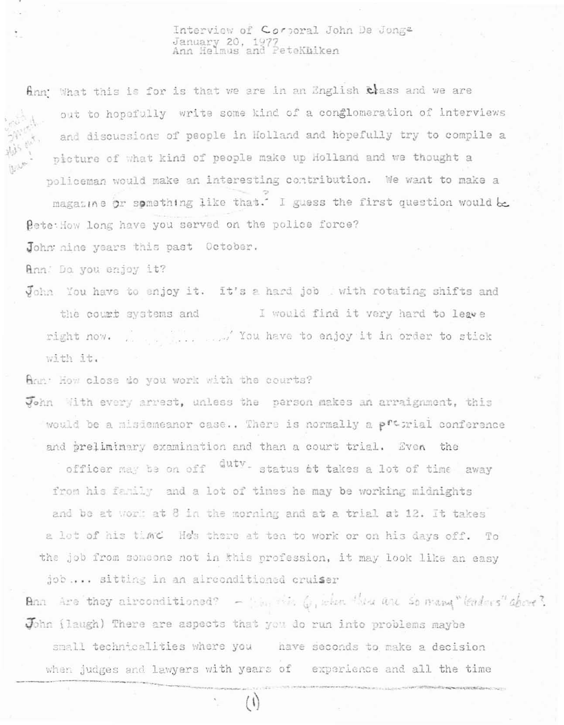Interview of Corporal John De Jonge January 20, 1977<br>Ann Helmus and Petekhiken

finn What this is for is that we are in an English class and we are out to hopefully write some kind of a conglomeration of interviews and discussions of people in Holland and hopefully try to compile a picture of what kind of people make up Holland and we thought a policeman would make an interesting contribution. We want to make a magazine or something like that.' I guess the first question would be Pete: How long have you served on the police force?

John nine years this past October.

Ann: Do you enjoy it?

John You have to enjoy it. It's a hard job with rotating shifts and the court systems and I would find it very hard to leave ... .... You have to enjoy it in order to stick right now. with it.

Ann: How close do you work with the courts?

John With every arrest, unless the person makes an arraignment, this would be a misiameanor case.. There is normally a pretrial conference and preliminary examination and than a court trial. Even the officer may be on off duty. status at takes a lot of time away

from his family and a lot of times he may be working midnights and be at work at 8 in the morning and at a trial at 12. It takes a lot of his time He's there at ten to work or on his days off. To the job from someone not in this profession, it may look like an easy job .... sitting in an alreonditioned cruiser

Ann Are they airconditioned?  $-\frac{1}{2}$  by the C, when the are so many "leaders" above? John (laugh) There are aspects that you do run into problems maybe small technicalities where you have seconds to make a decision when judges and lawyers with years of experience and all the time

 $(\dagger)$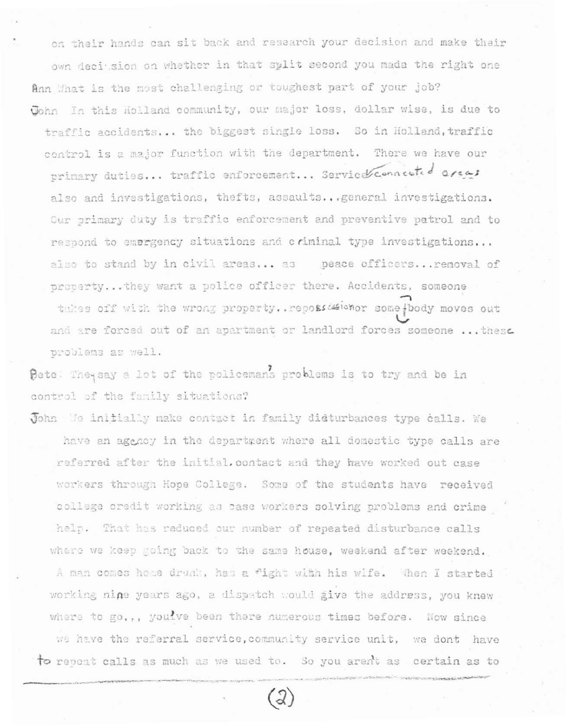on their hands can sit back and research your decision and make their own deci sion on whether in that split second you made the right one Ann that is the most challenging or toughest part of your job? John In this Holland community, our major loss, dollar wise, is due to traffic accidents... the biggest single loss. So in Holland, traffic control is a major function with the department. There we have our primary duties... traffic enforcement... Service connected areas also and investigations, thefts, assaults... general investigations. Our primary duty is traffic enforcement and preventive patrol and to respond to emergency situations and criminal type investigations... also to stand by in civil areas... as peace officers... removal of property...they want a police officer there. Accidents, someone takes off with the wrong property. repossesionor some {body moves out and are forced out of an apartment or landlord forces someone ... these problems as well.

Pete. They say a lot of the policemans problems is to try and be in control of the family situations?

John Me initially make contact in family didturbances type calls. We have an agency in the department where all domestic type calls are referred after the initial, contact and they have worked out case workers through Hope College. Some of the students have received college credit working as case workers solving problems and crime help. That has reduced our number of repeated disturbance calls where we keep going back to the same house, weekend after weekend. A man comes home drunk, has a fight with his wife. When I started working nine years ago, a dispatch would give the address, you knew where to go.,, you!ve been there numerous times before. Now since we have the referral service, community service unit, we dont have to repeat calls as much as we used to. So you aren't as certain as to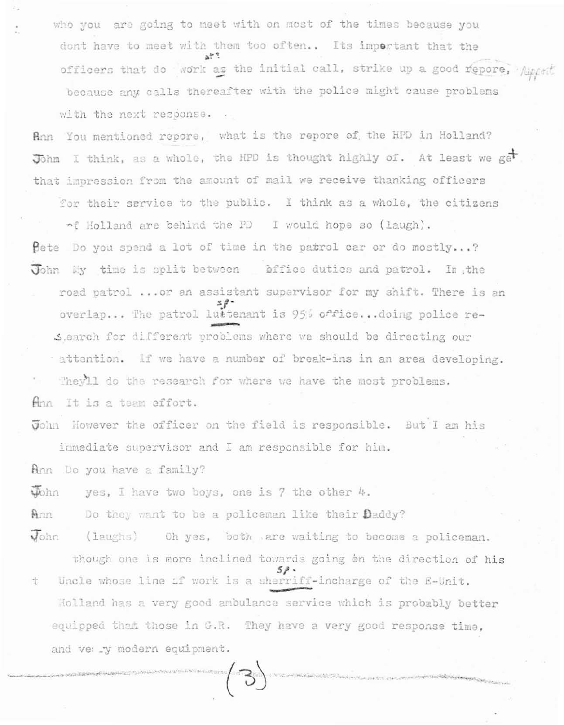who you are going to meet with on most of the times because you dont have to meet with them too often.. Its important that the officers that do work as the initial call, strike up a good repore, Appent because any calls thereafter with the police might cause problems with the next response.

Ann You mentioned repore, what is the repore of the HPD in Holland? John I think, as a whole, the HPD is thought highly of. At least we get that impression from the amount of mail we receive thanking officers

for their service to the public. I think as a whole, the citizens nf Holland are behind the PD I would hope so (laugh). Bete Do you spend a lot of time in the patrol car or do mostly...? John My time is split between affice duties and patrol. In the road patrol ... or an assistant supervisor for my shift. There is an overlap... The patrol lustenant is 95% office... doing police re-Slearch for different problems where we should be directing our attention. If we have a number of break-ins in an area developing. They'll do the research for where we have the most problems. Ann It is a team effort.

John However the officer on the field is responsible. But I am his immediate supervisor and I am responsible for him.

Ann Do you have a family?

yohn yes, I have two boys, one is 7 the other 4.

Ann Do they want to be a policeman like their Daddy?

 $J_{\text{ohn}}$ (laughs) Oh yes, both are waiting to become a policeman.

though one is more inclined towards going on the direction of his  $5P$ Uncle whose line if work is a sherriff-incharge of the E-Unit. t Holland has a very good ambulance service which is probably better equipped that those in G.R. They have a very good response time, and ve: .y modern equipment.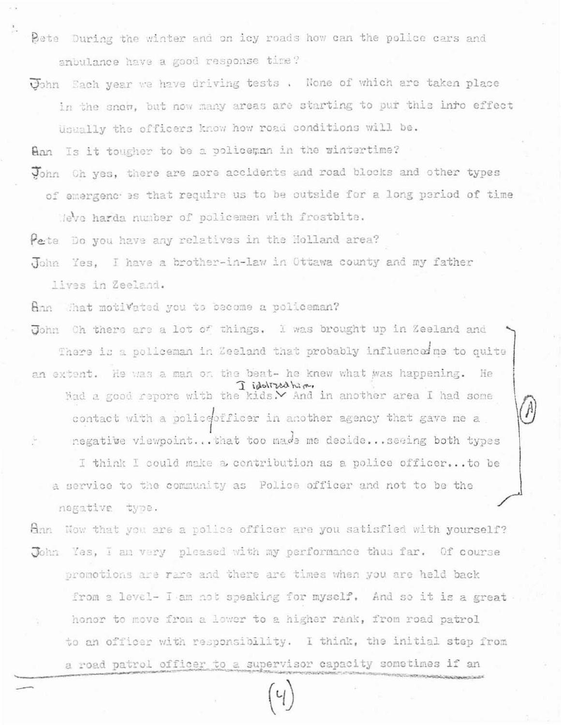Pete During the winter and on icy roads how can the police cars and anbulance have a good response time?

John Each year we have driving tests. None of which are taken place in the snow, but now many areas are starting to pur this inro effect Usually the officers know how road conditions will be.

Ann Is it tougher to be a policeman in the wintertime?

John Oh yes, there are nore accidents and road blocks and other types of emergenches that require us to be outside for a long period of time

Meve harda number of policemen with frostbite.

Pete Do you have any relatives in the Holland area?

John Yes, I have a brother-in-law in Ottawa county and my father lives in Zeeland.

ann That motivated you to become a policeman?

John Oh there are a lot of things. I was brought up in Zeeland and There is a policeman in Zeeland that probably influenced me to quite an extent. He was a man on the beat- he knew what was happening. He I idoltzed him. had a good repore with the kids. And in another area I had some contact with a policeofficer in another agency that gave me a negative viewpoint... that too made me decide... seeing both types I think I could make a contribution as a police officer... to be a service to the community as Police officer and not to be the

negative type.

Han Now that you are a police officer are you satisfied with yourself? John Yes, I am very pleased with my performance thus far. Of course promotions are rare and there are times when you are held back from a level- I am not speaking for myself. And so it is a great honor to move from a lower to a higher rank, from road patrol to an officer with responsibility. I think, the initial step from a road patrol officer to a supervisor capacity sometimes if an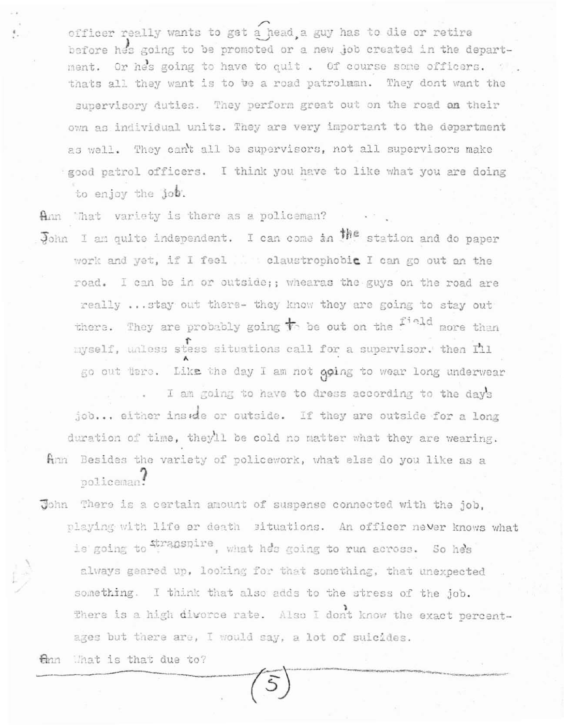officer really wants to get a head, a guy has to die or retire before hes going to be promoted or a new job created in the department. Or hes going to have to quit. Of course some officers. thats all they want is to be a road patrolman. They dont want the supervisory duties. They perform great out on the road an their own as individual units. They are very important to the department as well. They can't all be supervisors, not all supervisors make good patrol officers. I think you have to like what you are doing to enjoy the job.

Ann What variety is there as a policeman?

John I am quite independent. I can come in the station and do paper work and yet, if I feel and claustrophobic I can go out an the road. I can be in or outside;; whearas the guys on the road are really ... stay out there- they know they are going to stay out there. They are probably going  $\overline{t}$  be out on the <sup>field</sup> more than myself, unless stess situations call for a supervisor. then Ill go out tere. Like the day I am not going to wear long underwear

I am going to have to dress according to the day's job... either inside or outside. If they are outside for a long duration of time, they'll be cold no matter what they are wearing. Ann Besides the variety of policework, what else do you like as a policeman!

John There is a certain amount of suspense connected with the job, playing with life or death situations. An officer never knows what is going to stranspire, what hes going to run across. So he's always geared up, looking for that something, that unexpected something. I think that also adds to the stress of the job. There is a high divorce rate. Also I dont know the exact percentages but there are, I would say, a lot of suicides.

Onn What is that due to?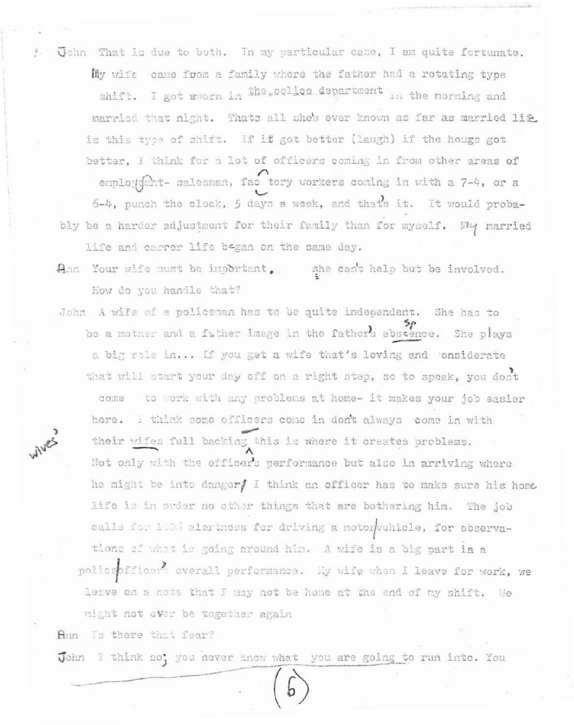! John That is due to both. In my particular case, I am quite fortunate. My wife came foom a family where the father had a rotating type shift. I got whorn in the police department in the morning and married that night. Thats all she's ever known as far as married life is this type of shift. If if got better (laugh) if the hougs got better, I think for a lot of officers coming in from other areas of employdmnt- salesman, fac tory workers coming in with a 7-4, or a 6-4, punch the clock, 5 days a week, and that's it. It would probably be a harder adjustment for their family than for myself. Why married life and carrer life began on the same day.

Ann Your wife must be important. she can't help but be involved. How do you handle that?

John A wife of a policeman has to be quite independent. She has to be a mother and a father image in the father's abscence. She plays a big role in... If you get a wife that's loving and onsiderate that will start your day off on a right step, so to speak, you dont come to work with any problems at home- it makes your job easier here. I think some officers come in don't always come in with WIVES their wifes full backing this is where it creates problems. Not only with the officer's performance but also in arriving where he might be into danger/ I think an officer has to make sure his home life is in order no other things that are bothering him. The job calls for 100% alertness for driving a motorwehicle, for observations of what is going around him. A wife is a big part in a policepfficers overall performance. My wife when I leave for work, we leave on a note that I may not be home at the end of my shift. We might not ever be together again

Ann Is there that fear?

John I think so; you never know what you are going to run into. You